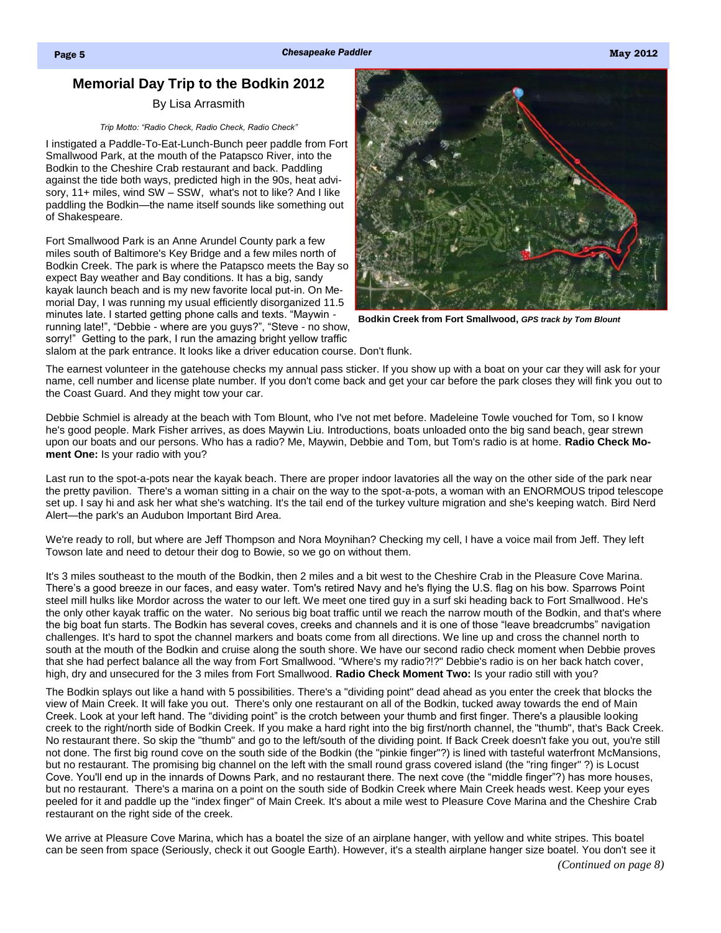# **Memorial Day Trip to the Bodkin 2012**

## By Lisa Arrasmith

#### *Trip Motto: "Radio Check, Radio Check, Radio Check"*

I instigated a Paddle-To-Eat-Lunch-Bunch peer paddle from Fort Smallwood Park, at the mouth of the Patapsco River, into the Bodkin to the Cheshire Crab restaurant and back. Paddling against the tide both ways, predicted high in the 90s, heat advisory, 11+ miles, wind SW - SSW, what's not to like? And I like paddling the Bodkin—the name itself sounds like something out of Shakespeare.

Fort Smallwood Park is an Anne Arundel County park a few miles south of Baltimore's Key Bridge and a few miles north of Bodkin Creek. The park is where the Patapsco meets the Bay so expect Bay weather and Bay conditions. It has a big, sandy kayak launch beach and is my new favorite local put-in. On Memorial Day, I was running my usual efficiently disorganized 11.5 minutes late. I started getting phone calls and texts. "Maywin running late!", "Debbie - where are you guys?", "Steve - no show, sorry!" Getting to the park, I run the amazing bright yellow traffic



**Bodkin Creek from Fort Smallwood,** *GPS track by Tom Blount*

slalom at the park entrance. It looks like a driver education course. Don't flunk.

The earnest volunteer in the gatehouse checks my annual pass sticker. If you show up with a boat on your car they will ask for your name, cell number and license plate number. If you don't come back and get your car before the park closes they will fink you out to the Coast Guard. And they might tow your car.

Debbie Schmiel is already at the beach with Tom Blount, who I've not met before. Madeleine Towle vouched for Tom, so I know he's good people. Mark Fisher arrives, as does Maywin Liu. Introductions, boats unloaded onto the big sand beach, gear strewn upon our boats and our persons. Who has a radio? Me, Maywin, Debbie and Tom, but Tom's radio is at home. **Radio Check Moment One:** Is your radio with you?

Last run to the spot-a-pots near the kayak beach. There are proper indoor lavatories all the way on the other side of the park near the pretty pavilion. There's a woman sitting in a chair on the way to the spot-a-pots, a woman with an ENORMOUS tripod telescope set up. I say hi and ask her what she's watching. It's the tail end of the turkey vulture migration and she's keeping watch. Bird Nerd Alert—the park's an Audubon Important Bird Area.

We're ready to roll, but where are Jeff Thompson and Nora Moynihan? Checking my cell, I have a voice mail from Jeff. They left Towson late and need to detour their dog to Bowie, so we go on without them.

It's 3 miles southeast to the mouth of the Bodkin, then 2 miles and a bit west to the Cheshire Crab in the Pleasure Cove Marina. There's a good breeze in our faces, and easy water. Tom's retired Navy and he's flying the U.S. flag on his bow. Sparrows Point steel mill hulks like Mordor across the water to our left. We meet one tired guy in a surf ski heading back to Fort Smallwood. He's the only other kayak traffic on the water. No serious big boat traffic until we reach the narrow mouth of the Bodkin, and that's where the big boat fun starts. The Bodkin has several coves, creeks and channels and it is one of those "leave breadcrumbs" navigation challenges. It's hard to spot the channel markers and boats come from all directions. We line up and cross the channel north to south at the mouth of the Bodkin and cruise along the south shore. We have our second radio check moment when Debbie proves that she had perfect balance all the way from Fort Smallwood. "Where's my radio?!?" Debbie's radio is on her back hatch cover, high, dry and unsecured for the 3 miles from Fort Smallwood. **Radio Check Moment Two:** Is your radio still with you?

The Bodkin splays out like a hand with 5 possibilities. There's a "dividing point" dead ahead as you enter the creek that blocks the view of Main Creek. It will fake you out. There's only one restaurant on all of the Bodkin, tucked away towards the end of Main Creek. Look at your left hand. The "dividing point" is the crotch between your thumb and first finger. There's a plausible looking creek to the right/north side of Bodkin Creek. If you make a hard right into the big first/north channel, the "thumb", that's Back Creek. No restaurant there. So skip the "thumb" and go to the left/south of the dividing point. If Back Creek doesn't fake you out, you're still not done. The first big round cove on the south side of the Bodkin (the "pinkie finger"?) is lined with tasteful waterfront McMansions, but no restaurant. The promising big channel on the left with the small round grass covered island (the "ring finger" ?) is Locust Cove. You'll end up in the innards of Downs Park, and no restaurant there. The next cove (the "middle finger"?) has more houses, but no restaurant. There's a marina on a point on the south side of Bodkin Creek where Main Creek heads west. Keep your eyes peeled for it and paddle up the "index finger" of Main Creek. It's about a mile west to Pleasure Cove Marina and the Cheshire Crab restaurant on the right side of the creek.

We arrive at Pleasure Cove Marina, which has a boatel the size of an airplane hanger, with yellow and white stripes. This boatel can be seen from space (Seriously, check it out Google Earth). However, it's a stealth airplane hanger size boatel. You don't see it *(Continued on page 8)*